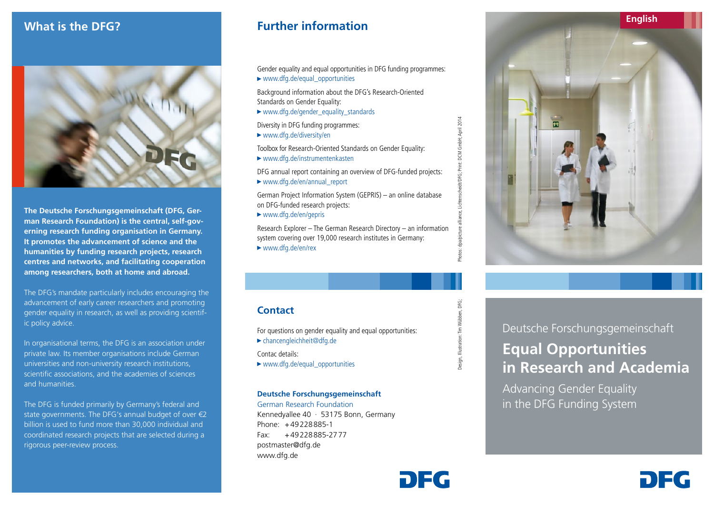

**The Deutsche Forschungsgemeinschaft (DFG, German Research Foundation) is the central, self-governing research funding organisation in Germany. It promotes the advancement of science and the humanities by funding research projects, research centres and networks, and facilitating cooperation among researchers, both at home and abroad.**

The DFG's mandate particularly includes encouraging the advancement of early career researchers and promoting gender equality in research, as well as providing scientific policy advice.

In organisational terms, the DFG is an association under private law. Its member organisations include German universities and non-university research institutions, scientific associations, and the academies of sciences and humanities.

The DFG is funded primarily by Germany's federal and state governments. The DFG's annual budget of over €2 billion is used to fund more than 30,000 individual and coordinated research projects that are selected during a rigorous peer-review process.

## *What is the DFG?* **<b>Further information**

Gender equality and equal opportunities in DFG funding programmes: ► www.dfg.de/equal\_opportunities

Background information about the DFG's Research-Oriented Standards on Gender Equality:

►www.dfg.de/gender\_equality\_standards

Diversity in DFG funding programmes:

►www.dfg.de/diversity/en

Toolbox for Research-Oriented Standards on Gender Equality: ►www.dfg.de/instrumentenkasten

DFG annual report containing an overview of DFG-funded projects: ►www.dfg.de/en/annual\_report

German Project Information System (GEPRIS) – an online database on DFG-funded research projects:

►www.dfg.de/en/gepris

Research Explorer – The German Research Directory – an information system covering over 19,000 research institutes in Germany: ►www.dfg.de/en/rex

### **Contact**

For questions on gender equality and equal opportunities: ►chancengleichheit@dfg.de Contac details:

►www.dfg.de/equal\_opportunities

### **Deutsche Forschungsgemeinschaft**

German Research Foundation Kennedyallee 40 · 53175 Bonn, Germany Phone: +49228885-1 Fax: +49228885-2777 postmaster@dfg.de www.dfg.de



dt/DFG; Print: DCM GmbH; April 2014



Deutsche Forschungsgemeinschaft **Equal Opportunities in Research and Academia**

n Ea

Advancing Gender Equality in the DFG Funding System

# DEG